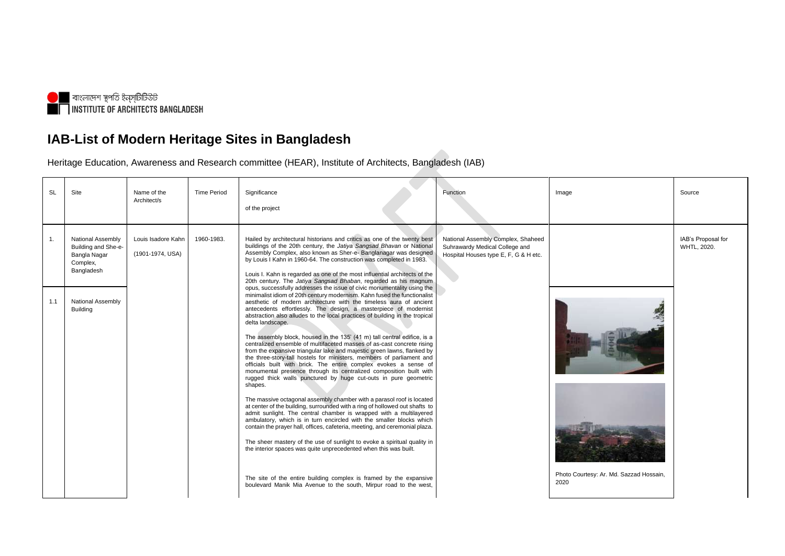

## **IAB-List of Modern Heritage Sites in Bangladesh**

Heritage Education, Awareness and Research committee (HEAR), Institute of Architects, Bangladesh (IAB)

| <b>SL</b>      | Site                                                                                      | Name of the<br>Architect/s             | <b>Time Period</b> | Significance<br>of the project                                                                                                                                                                                                                                                                                                                                                                                                                                                                                                                                                                                                                                                                                                                                                                                                                                                                                                     | Function                                                                                                      | Image                                   | Source           |
|----------------|-------------------------------------------------------------------------------------------|----------------------------------------|--------------------|------------------------------------------------------------------------------------------------------------------------------------------------------------------------------------------------------------------------------------------------------------------------------------------------------------------------------------------------------------------------------------------------------------------------------------------------------------------------------------------------------------------------------------------------------------------------------------------------------------------------------------------------------------------------------------------------------------------------------------------------------------------------------------------------------------------------------------------------------------------------------------------------------------------------------------|---------------------------------------------------------------------------------------------------------------|-----------------------------------------|------------------|
| $\mathbf{1}$ . | <b>National Assembly</b><br>Building and She-e-<br>Bangla Nagar<br>Complex,<br>Bangladesh | Louis Isadore Kahn<br>(1901-1974, USA) | 1960-1983.         | Hailed by architectural historians and critics as one of the twenty best<br>buildings of the 20th century, the Jatiya Sangsad Bhavan or National<br>Assembly Complex, also known as Sher-e- Banglanagar was designed<br>by Louis I Kahn in 1960-64. The construction was completed in 1983.<br>Louis I. Kahn is regarded as one of the most influential architects of the<br>20th century. The Jatiya Sangsad Bhaban, regarded as his magnum                                                                                                                                                                                                                                                                                                                                                                                                                                                                                       | National Assembly Complex, Shaheed<br>Suhrawardy Medical College and<br>Hospital Houses type E, F, G & H etc. |                                         | IAB's P<br>WHTL, |
| 1.1            | <b>National Assembly</b><br><b>Building</b>                                               |                                        |                    | opus, successfully addresses the issue of civic monumentality using the<br>minimalist idiom of 20th century modernism. Kahn fused the functionalist<br>aesthetic of modern architecture with the timeless aura of ancient<br>antecedents effortlessly. The design, a masterpiece of modernist<br>abstraction also alludes to the local practices of building in the tropical<br>delta landscape.<br>The assembly block, housed in the 135' (41 m) tall central edifice, is a<br>centralized ensemble of multifaceted masses of as-cast concrete rising<br>from the expansive triangular lake and majestic green lawns, flanked by<br>the three-story-tall hostels for ministers, members of parliament and<br>officials built with brick. The entire complex evokes a sense of<br>monumental presence through its centralized composition built with<br>rugged thick walls punctured by huge cut-outs in pure geometric<br>shapes. |                                                                                                               |                                         |                  |
|                |                                                                                           |                                        |                    | The massive octagonal assembly chamber with a parasol roof is located<br>at center of the building, surrounded with a ring of hollowed out shafts to<br>admit sunlight. The central chamber is wrapped with a multilayered<br>ambulatory, which is in turn encircled with the smaller blocks which<br>contain the prayer hall, offices, cafeteria, meeting, and ceremonial plaza.<br>The sheer mastery of the use of sunlight to evoke a spiritual quality in<br>the interior spaces was quite unprecedented when this was built.                                                                                                                                                                                                                                                                                                                                                                                                  |                                                                                                               | Photo Courtesy: Ar. Md. Sazzad Hossain, |                  |
|                |                                                                                           |                                        |                    | The site of the entire building complex is framed by the expansive<br>boulevard Manik Mia Avenue to the south, Mirpur road to the west,                                                                                                                                                                                                                                                                                                                                                                                                                                                                                                                                                                                                                                                                                                                                                                                            |                                                                                                               | 2020                                    |                  |

| Image                                           | Source                            |
|-------------------------------------------------|-----------------------------------|
|                                                 | IAB's Proposal for<br>WHTL, 2020. |
|                                                 |                                   |
| Photo Courtesy: Ar. Md. Sazzad Hossain,<br>2020 |                                   |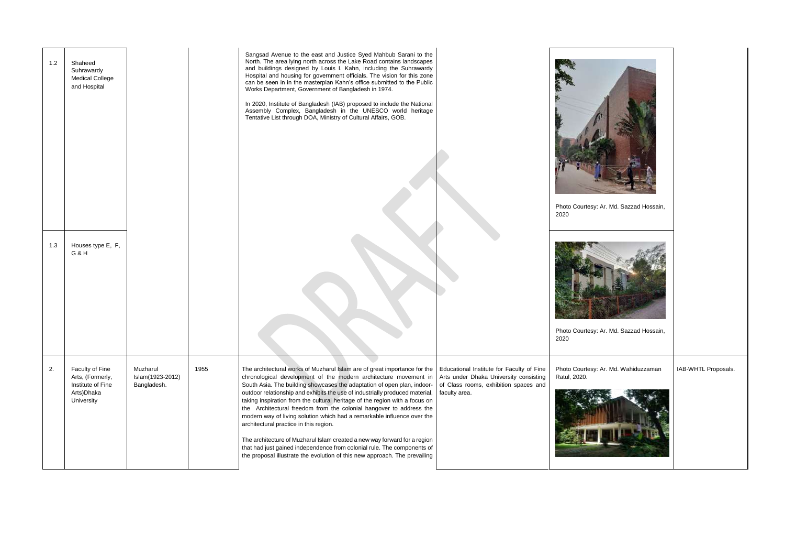| 1.2<br>1.3 | Shaheed<br>Suhrawardy<br><b>Medical College</b><br>and Hospital<br>Houses type E, F,<br>G&H |                                             |      | Sangsad Avenue to the east and Justice Syed Mahbub Sarani to the<br>North. The area lying north across the Lake Road contains landscapes<br>and buildings designed by Louis I. Kahn, including the Suhrawardy<br>Hospital and housing for government officials. The vision for this zone<br>can be seen in in the masterplan Kahn's office submitted to the Public<br>Works Department, Government of Bangladesh in 1974.<br>In 2020, Institute of Bangladesh (IAB) proposed to include the National<br>Assembly Complex, Bangladesh in the UNESCO world heritage<br>Tentative List through DOA, Ministry of Cultural Affairs, GOB.                                                                                                                                                                                       |                                                                                                                                               | Photo Courte<br>2020<br>Photo Courte<br>2020 |
|------------|---------------------------------------------------------------------------------------------|---------------------------------------------|------|---------------------------------------------------------------------------------------------------------------------------------------------------------------------------------------------------------------------------------------------------------------------------------------------------------------------------------------------------------------------------------------------------------------------------------------------------------------------------------------------------------------------------------------------------------------------------------------------------------------------------------------------------------------------------------------------------------------------------------------------------------------------------------------------------------------------------|-----------------------------------------------------------------------------------------------------------------------------------------------|----------------------------------------------|
| 2.         | Faculty of Fine<br>Arts, (Formerly,<br>Institute of Fine<br>Arts) Dhaka<br>University       | Muzharul<br>Islam(1923-2012)<br>Bangladesh. | 1955 | The architectural works of Muzharul Islam are of great importance for the<br>chronological development of the modern architecture movement in<br>South Asia. The building showcases the adaptation of open plan, indoor-<br>outdoor relationship and exhibits the use of industrially produced material,<br>taking inspiration from the cultural heritage of the region with a focus on<br>the Architectural freedom from the colonial hangover to address the<br>modern way of living solution which had a remarkable influence over the<br>architectural practice in this region.<br>The architecture of Muzharul Islam created a new way forward for a region<br>that had just gained independence from colonial rule. The components of<br>the proposal illustrate the evolution of this new approach. The prevailing | Educational Institute for Faculty of Fine<br>Arts under Dhaka University consisting<br>of Class rooms, exhibition spaces and<br>faculty area. | Photo Courte<br>Ratul, 2020.                 |

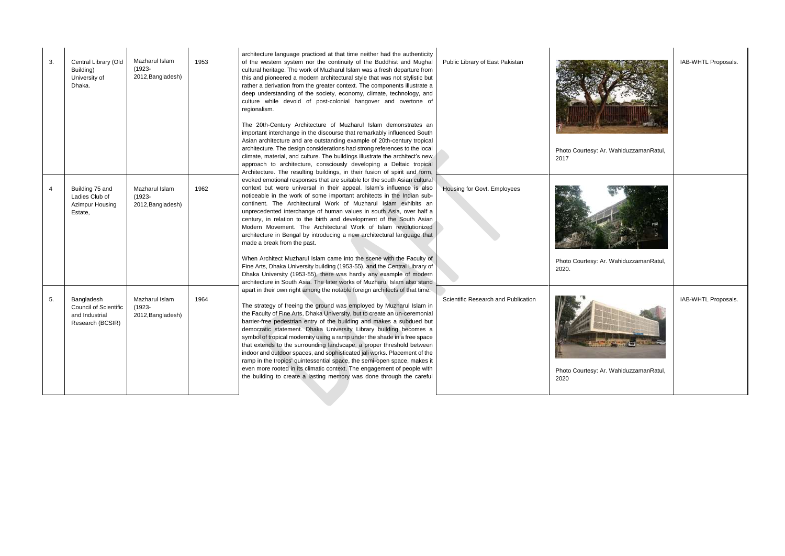| 3. | Central Library (Old<br>Building)<br>University of<br>Dhaka.                     | Mazharul Islam<br>(1923-<br>2012, Bangladesh)    | 1953 | architecture language practiced at that time neither had the authenticity<br>of the western system nor the continuity of the Buddhist and Mughal<br>cultural heritage. The work of Muzharul Islam was a fresh departure from<br>this and pioneered a modern architectural style that was not stylistic but<br>rather a derivation from the greater context. The components illustrate a<br>deep understanding of the society, economy, climate, technology, and<br>culture while devoid of post-colonial hangover and overtone of<br>regionalism.<br>The 20th-Century Architecture of Muzharul Islam demonstrates an<br>important interchange in the discourse that remarkably influenced South<br>Asian architecture and are outstanding example of 20th-century tropical<br>architecture. The design considerations had strong references to the local<br>climate, material, and culture. The buildings illustrate the architect's new<br>approach to architecture, consciously developing a Deltaic tropical<br>Architecture. The resulting buildings, in their fusion of spirit and form, | Public Library of East Pakistan     | Photo Courtesy: Ar. WahiduzzamanRatul,<br>2017 | IAB-WHTL Proposals. |
|----|----------------------------------------------------------------------------------|--------------------------------------------------|------|-----------------------------------------------------------------------------------------------------------------------------------------------------------------------------------------------------------------------------------------------------------------------------------------------------------------------------------------------------------------------------------------------------------------------------------------------------------------------------------------------------------------------------------------------------------------------------------------------------------------------------------------------------------------------------------------------------------------------------------------------------------------------------------------------------------------------------------------------------------------------------------------------------------------------------------------------------------------------------------------------------------------------------------------------------------------------------------------------|-------------------------------------|------------------------------------------------|---------------------|
|    | Building 75 and<br>Ladies Club of<br>Azimpur Housing<br>Estate,                  | Mazharul Islam<br>$(1923 -$<br>2012, Bangladesh) | 1962 | evoked emotional responses that are suitable for the south Asian cultural<br>context but were universal in their appeal. Islam's influence is also<br>noticeable in the work of some important architects in the Indian sub-<br>continent. The Architectural Work of Muzharul Islam exhibits an<br>unprecedented interchange of human values in south Asia, over half a<br>century, in relation to the birth and development of the South Asian<br>Modern Movement. The Architectural Work of Islam revolutionized<br>architecture in Bengal by introducing a new architectural language that<br>made a break from the past.<br>When Architect Muzharul Islam came into the scene with the Faculty of<br>Fine Arts, Dhaka University building (1953-55), and the Central Library of                                                                                                                                                                                                                                                                                                           | Housing for Govt. Employees         | Photo Courtesy: Ar. WahiduzzamanRatul,         |                     |
|    |                                                                                  |                                                  |      | Dhaka University (1953-55), there was hardly any example of modern<br>architecture in South Asia. The later works of Muzharul Islam also stand                                                                                                                                                                                                                                                                                                                                                                                                                                                                                                                                                                                                                                                                                                                                                                                                                                                                                                                                                |                                     | 2020.                                          |                     |
| 5. | Bangladesh<br><b>Council of Scientific</b><br>and Industrial<br>Research (BCSIR) | Mazharul Islam<br>$(1923 -$<br>2012, Bangladesh) | 1964 | apart in their own right among the notable foreign architects of that time.<br>The strategy of freeing the ground was employed by Muzharul Islam in<br>the Faculty of Fine Arts, Dhaka University, but to create an un-ceremonial<br>barrier-free pedestrian entry of the building and makes a subdued but<br>democratic statement. Dhaka University Library building becomes a<br>symbol of tropical modernity using a ramp under the shade in a free space<br>that extends to the surrounding landscape, a proper threshold between<br>indoor and outdoor spaces, and sophisticated jali works. Placement of the<br>ramp in the tropics' quintessential space, the semi-open space, makes it<br>even more rooted in its climatic context. The engagement of people with<br>the building to create a lasting memory was done through the careful                                                                                                                                                                                                                                             | Scientific Research and Publication | Photo Courtesy: Ar. WahiduzzamanRatul,<br>2020 | IAB-WHTL Proposals. |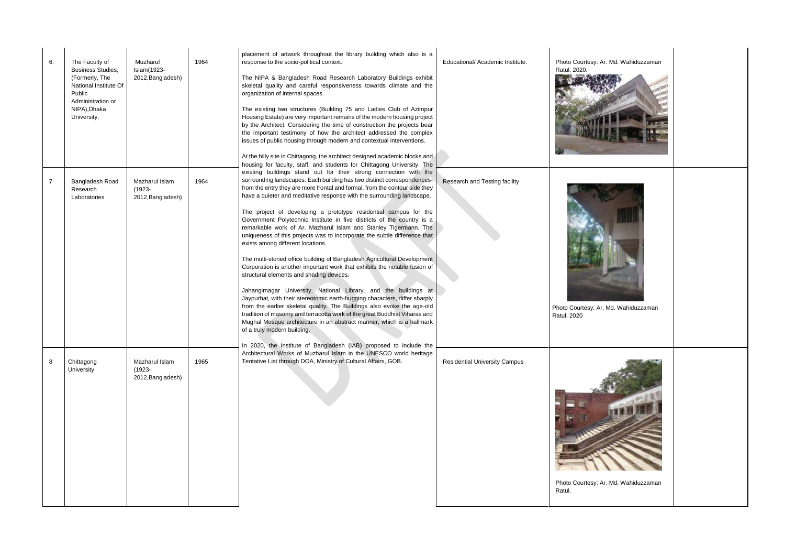| 6. | The Faculty of<br><b>Business Studies,</b><br>(Formerly, The<br>National Institute Of<br>Public<br>Administration or<br>NIPA), Dhaka<br>University. | Muzharul<br>Islam(1923-<br>2012, Bangladesh)     | 1964 | placement of artwork throughout the library building which also is a<br>response to the socio-political context.<br>The NIPA & Bangladesh Road Research Laboratory Buildings exhibit<br>skeletal quality and careful responsiveness towards climate and the<br>organization of internal spaces.<br>The existing two structures (Building 75 and Ladies Club of Azimpur<br>Housing Estate) are very important remains of the modern housing project<br>by the Architect. Considering the time of construction the projects bear<br>the important testimony of how the architect addressed the complex<br>issues of public housing through modern and contextual interventions.<br>At the hilly site in Chittagong, the architect designed academic blocks and<br>housing for faculty, staff, and students for Chittagong University. The                                                                                                                                                                                                                                                                                                                                                                                                                           | Educational/ Academic Institute.     | Photo Courte:<br>Ratul, 2020. |
|----|-----------------------------------------------------------------------------------------------------------------------------------------------------|--------------------------------------------------|------|-------------------------------------------------------------------------------------------------------------------------------------------------------------------------------------------------------------------------------------------------------------------------------------------------------------------------------------------------------------------------------------------------------------------------------------------------------------------------------------------------------------------------------------------------------------------------------------------------------------------------------------------------------------------------------------------------------------------------------------------------------------------------------------------------------------------------------------------------------------------------------------------------------------------------------------------------------------------------------------------------------------------------------------------------------------------------------------------------------------------------------------------------------------------------------------------------------------------------------------------------------------------|--------------------------------------|-------------------------------|
| 7  | Bangladesh Road<br>Research<br>Laboratories                                                                                                         | Mazharul Islam<br>$(1923 -$<br>2012, Bangladesh) | 1964 | existing buildings stand out for their strong connection with the<br>surrounding landscapes. Each building has two distinct correspondences-<br>from the entry they are more frontal and formal, from the contour side they<br>have a quieter and meditative response with the surrounding landscape.<br>The project of developing a prototype residential campus for the<br>Government Polytechnic Institute in five districts of the country is a<br>remarkable work of Ar. Mazharul Islam and Stanley Tigermann. The<br>uniqueness of this projects was to incorporate the subtle difference that<br>exists among different locations.<br>The multi-storied office building of Bangladesh Agricultural Development<br>Corporation is another important work that exhibits the notable fusion of<br>structural elements and shading devices.<br>Jahangirnagar University, National Library, and the buildings at<br>Jaypurhat, with their stereotomic earth-hugging characters, differ sharply<br>from the earlier skeletal quality. The Buildings also evoke the age-old<br>tradition of masonry and terracotta work of the great Buddhist Viharas and<br>Mughal Mosque architecture in an abstract manner, which is a hallmark<br>of a truly modern building. | Research and Testing facility        | Photo Courtesy<br>Ratul, 2020 |
| 8  | Chittagong<br>University                                                                                                                            | Mazharul Islam<br>$(1923 -$<br>2012, Bangladesh) | 1965 | In 2020, the Institute of Bangladesh (IAB) proposed to include the<br>Architectural Works of Muzharul Islam in the UNESCO world heritage<br>Tentative List through DOA, Ministry of Cultural Affairs, GOB.                                                                                                                                                                                                                                                                                                                                                                                                                                                                                                                                                                                                                                                                                                                                                                                                                                                                                                                                                                                                                                                        | <b>Residential University Campus</b> | Photo Courtes<br>Ratul.       |

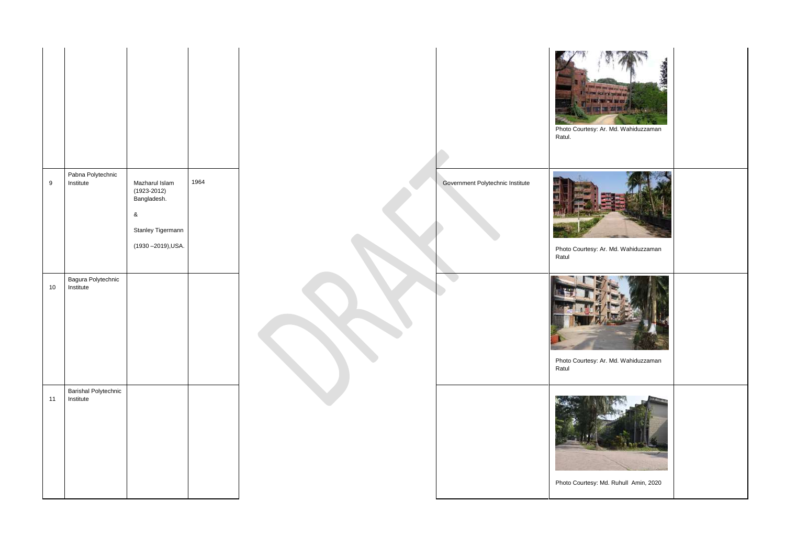

|                  |                                          |                                                                                                    |      |                                  | Photo Cou<br>Ratul. |
|------------------|------------------------------------------|----------------------------------------------------------------------------------------------------|------|----------------------------------|---------------------|
| $\boldsymbol{9}$ | Pabna Polytechnic<br>Institute           | Mazharul Islam<br>$(1923 - 2012)$<br>Bangladesh.<br>$\&$<br>Stanley Tigermann<br>(1930-2019), USA. | 1964 | Government Polytechnic Institute | Photo Cou<br>Ratul  |
| 10               | Bagura Polytechnic<br>Institute          |                                                                                                    |      |                                  | Photo Cou<br>Ratul  |
| 11               | <b>Barishal Polytechnic</b><br>Institute |                                                                                                    |      |                                  | Photo Cou           |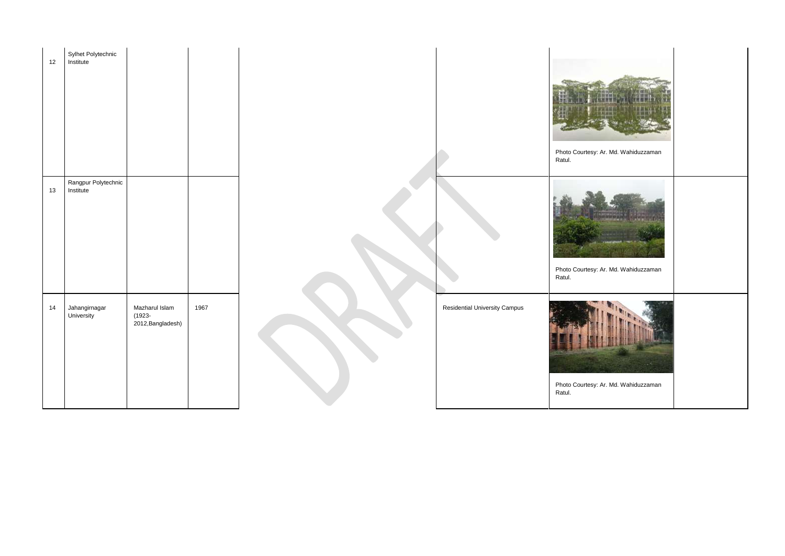| 12 | Sylhet Polytechnic<br>Institute  |                                                  |      |                                      | Photo Court<br>Ratul. |
|----|----------------------------------|--------------------------------------------------|------|--------------------------------------|-----------------------|
| 13 | Rangpur Polytechnic<br>Institute |                                                  |      |                                      | Photo Court<br>Ratul. |
| 14 | Jahangirnagar<br>University      | Mazharul Islam<br>$(1923 -$<br>2012, Bangladesh) | 1967 | <b>Residential University Campus</b> | Photo Court<br>Ratul. |

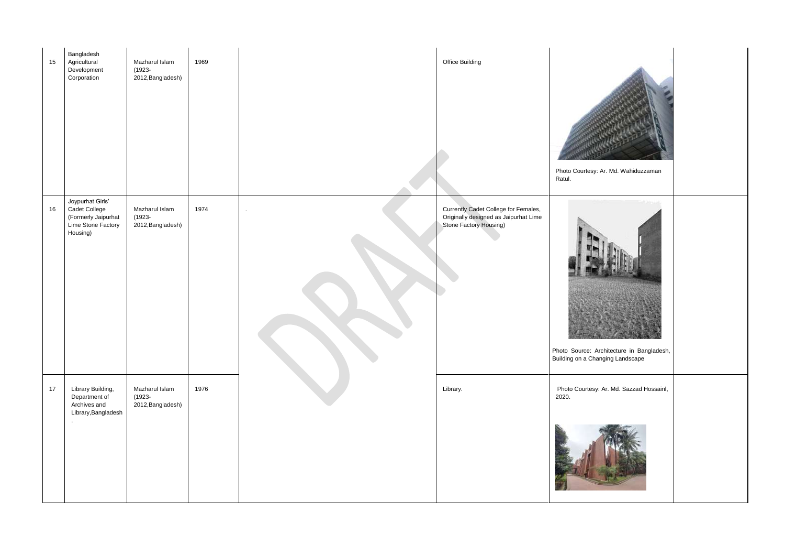| 15 | Bangladesh<br>Agricultural<br>Development<br>Corporation                                   | Mazharul Islam<br>$(1923 -$<br>2012, Bangladesh) | 1969 |         | Office Building                                                                                         | Photo Courtesy:<br>Ratul.            |
|----|--------------------------------------------------------------------------------------------|--------------------------------------------------|------|---------|---------------------------------------------------------------------------------------------------------|--------------------------------------|
| 16 | Joypurhat Girls'<br>Cadet College<br>(Formerly Jaipurhat<br>Lime Stone Factory<br>Housing) | Mazharul Islam<br>$(1923 -$<br>2012, Bangladesh) | 1974 | $\cdot$ | Currently Cadet College for Females,<br>Originally designed as Jaipurhat Lime<br>Stone Factory Housing) | Photo Source: A<br>Building on a Cha |
| 17 | Library Building,<br>Department of<br>Archives and<br>Library, Bangladesh                  | Mazharul Islam<br>$(1923 -$<br>2012, Bangladesh) | 1976 |         | Library.                                                                                                | Photo Courtesy<br>2020.              |

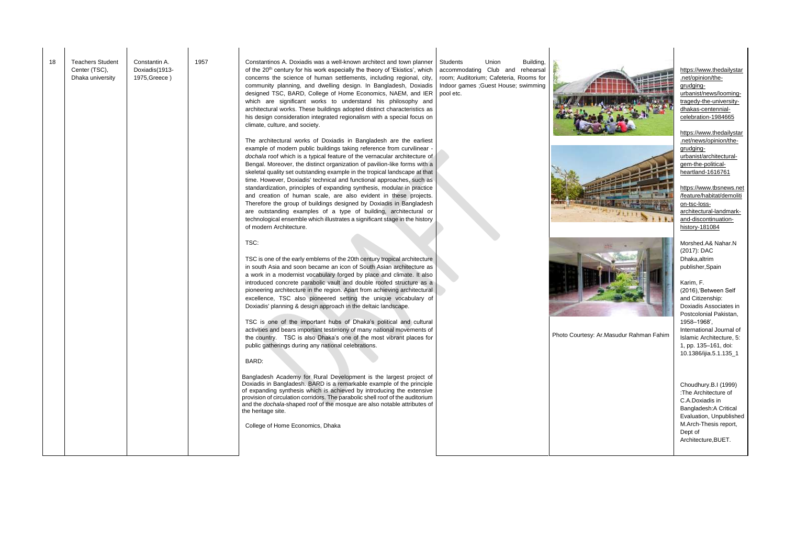| 18 | <b>Teachers Student</b><br>Center (TSC),<br>Dhaka university | Constantin A.<br>Doxiadis(1913-<br>1975, Greece) | 1957 | Constantinos A. Doxiadis was a well-known architect and town planner<br>of the 20 <sup>th</sup> century for his work especially the theory of 'Ekistics', which<br>concerns the science of human settlements, including regional, city,<br>community planning, and dwelling design. In Bangladesh, Doxiadis<br>designed TSC, BARD, College of Home Economics, NAEM, and IER<br>which are significant works to understand his philosophy and<br>architectural works. These buildings adopted distinct characteristics as<br>his design consideration integrated regionalism with a special focus on<br>climate, culture, and society.<br>The architectural works of Doxiadis in Bangladesh are the earliest<br>example of modern public buildings taking reference from curvilinear -<br>dochala roof which is a typical feature of the vernacular architecture of<br>Bengal. Moreover, the distinct organization of pavilion-like forms with a<br>skeletal quality set outstanding example in the tropical landscape at that<br>time. However, Doxiadis' technical and functional approaches, such as<br>standardization, principles of expanding synthesis, modular in practice<br>and creation of human scale, are also evident in these projects.<br>Therefore the group of buildings designed by Doxiadis in Bangladesh<br>are outstanding examples of a type of building, architectural or<br>technological ensemble which illustrates a significant stage in the history<br>of modern Architecture.<br>TSC:<br>TSC is one of the early emblems of the 20th century tropical architecture<br>in south Asia and soon became an icon of South Asian architecture as<br>a work in a modernist vocabulary forged by place and climate. It also<br>introduced concrete parabolic vault and double roofed structure as a<br>pioneering architecture in the region. Apart from achieving architectural<br>excellence, TSC also pioneered setting the unique vocabulary of<br>Doxiadis' planning & design approach in the deltaic landscape.<br>TSC is one of the important hubs of Dhaka's political and cultural<br>activities and bears important testimony of many national movements of<br>the country. TSC is also Dhaka's one of the most vibrant places for<br>public gatherings during any national celebrations.<br>BARD:<br>Bangladesh Academy for Rural Development is the largest project of<br>Doxiadis in Bangladesh. BARD is a remarkable example of the principle<br>of expanding synthesis which is achieved by introducing the extensive<br>provision of circulation corridors. The parabolic shell roof of the auditorium<br>and the dochala-shaped roof of the mosque are also notable attributes of<br>the heritage site.<br>College of Home Economics, Dhaka | Students<br>Union<br>Building,<br>accommodating Club and rehearsal<br>room; Auditorium; Cafeteria, Rooms for<br>Indoor games ; Guest House; swimming<br>pool etc. | Photo Cour |
|----|--------------------------------------------------------------|--------------------------------------------------|------|----------------------------------------------------------------------------------------------------------------------------------------------------------------------------------------------------------------------------------------------------------------------------------------------------------------------------------------------------------------------------------------------------------------------------------------------------------------------------------------------------------------------------------------------------------------------------------------------------------------------------------------------------------------------------------------------------------------------------------------------------------------------------------------------------------------------------------------------------------------------------------------------------------------------------------------------------------------------------------------------------------------------------------------------------------------------------------------------------------------------------------------------------------------------------------------------------------------------------------------------------------------------------------------------------------------------------------------------------------------------------------------------------------------------------------------------------------------------------------------------------------------------------------------------------------------------------------------------------------------------------------------------------------------------------------------------------------------------------------------------------------------------------------------------------------------------------------------------------------------------------------------------------------------------------------------------------------------------------------------------------------------------------------------------------------------------------------------------------------------------------------------------------------------------------------------------------------------------------------------------------------------------------------------------------------------------------------------------------------------------------------------------------------------------------------------------------------------------------------------------------------------------------------------------------------------------------------------------------------------------------------------------------------------------------------------------------------------------------------------------------------------------------------|-------------------------------------------------------------------------------------------------------------------------------------------------------------------|------------|
|    |                                                              |                                                  |      |                                                                                                                                                                                                                                                                                                                                                                                                                                                                                                                                                                                                                                                                                                                                                                                                                                                                                                                                                                                                                                                                                                                                                                                                                                                                                                                                                                                                                                                                                                                                                                                                                                                                                                                                                                                                                                                                                                                                                                                                                                                                                                                                                                                                                                                                                                                                                                                                                                                                                                                                                                                                                                                                                                                                                                                  |                                                                                                                                                                   |            |
|    |                                                              |                                                  |      |                                                                                                                                                                                                                                                                                                                                                                                                                                                                                                                                                                                                                                                                                                                                                                                                                                                                                                                                                                                                                                                                                                                                                                                                                                                                                                                                                                                                                                                                                                                                                                                                                                                                                                                                                                                                                                                                                                                                                                                                                                                                                                                                                                                                                                                                                                                                                                                                                                                                                                                                                                                                                                                                                                                                                                                  |                                                                                                                                                                   |            |







tesy: Ar.Masudur Rahman Fahim

[https://www.thedailystar](https://www.thedailystar.net/opinion/the-grudging-urbanist/news/looming-tragedy-the-university-dhakas-centennial-celebration-1984665) [.net/opinion/the](https://www.thedailystar.net/opinion/the-grudging-urbanist/news/looming-tragedy-the-university-dhakas-centennial-celebration-1984665)[grudging](https://www.thedailystar.net/opinion/the-grudging-urbanist/news/looming-tragedy-the-university-dhakas-centennial-celebration-1984665)[urbanist/news/looming](https://www.thedailystar.net/opinion/the-grudging-urbanist/news/looming-tragedy-the-university-dhakas-centennial-celebration-1984665)[tragedy-the-university](https://www.thedailystar.net/opinion/the-grudging-urbanist/news/looming-tragedy-the-university-dhakas-centennial-celebration-1984665)[dhakas-centennial](https://www.thedailystar.net/opinion/the-grudging-urbanist/news/looming-tragedy-the-university-dhakas-centennial-celebration-1984665)[celebration-1984665](https://www.thedailystar.net/opinion/the-grudging-urbanist/news/looming-tragedy-the-university-dhakas-centennial-celebration-1984665)

[https://www.thedailystar](https://www.thedailystar.net/news/opinion/the-grudging-urbanist/architectural-gem-the-political-heartland-1616761) [.net/news/opinion/the](https://www.thedailystar.net/news/opinion/the-grudging-urbanist/architectural-gem-the-political-heartland-1616761)[grudging](https://www.thedailystar.net/news/opinion/the-grudging-urbanist/architectural-gem-the-political-heartland-1616761)[urbanist/architectural](https://www.thedailystar.net/news/opinion/the-grudging-urbanist/architectural-gem-the-political-heartland-1616761)[gem-the-political](https://www.thedailystar.net/news/opinion/the-grudging-urbanist/architectural-gem-the-political-heartland-1616761)[heartland-1616761](https://www.thedailystar.net/news/opinion/the-grudging-urbanist/architectural-gem-the-political-heartland-1616761)

[https://www.tbsnews.net](https://www.tbsnews.net/feature/habitat/demolition-tsc-loss-architectural-landmark-and-discontinuation-history-181084) [/feature/habitat/demoliti](https://www.tbsnews.net/feature/habitat/demolition-tsc-loss-architectural-landmark-and-discontinuation-history-181084) [on-tsc-loss](https://www.tbsnews.net/feature/habitat/demolition-tsc-loss-architectural-landmark-and-discontinuation-history-181084)[architectural-landmark](https://www.tbsnews.net/feature/habitat/demolition-tsc-loss-architectural-landmark-and-discontinuation-history-181084)[and-discontinuation](https://www.tbsnews.net/feature/habitat/demolition-tsc-loss-architectural-landmark-and-discontinuation-history-181084)[history-181084](https://www.tbsnews.net/feature/habitat/demolition-tsc-loss-architectural-landmark-and-discontinuation-history-181084)

Morshed.A& Nahar.N (2017): DAC Dhaka,altrim publisher,Spain

Karim, F. (2016),'Between Self and Citizenship: Doxiadis Associates in Postcolonial Pakistan, 1958–1968', International Journal of Islamic Architecture, 5: 1, pp. 135–161, doi: 10.1386/ijia.5.1.135\_1

Choudhury.B.I (1999) :The Architecture of C.A.Doxiadis in Bangladesh:A Critical Evaluation, Unpublished M.Arch-Thesis report, Dept of Architecture,BUET.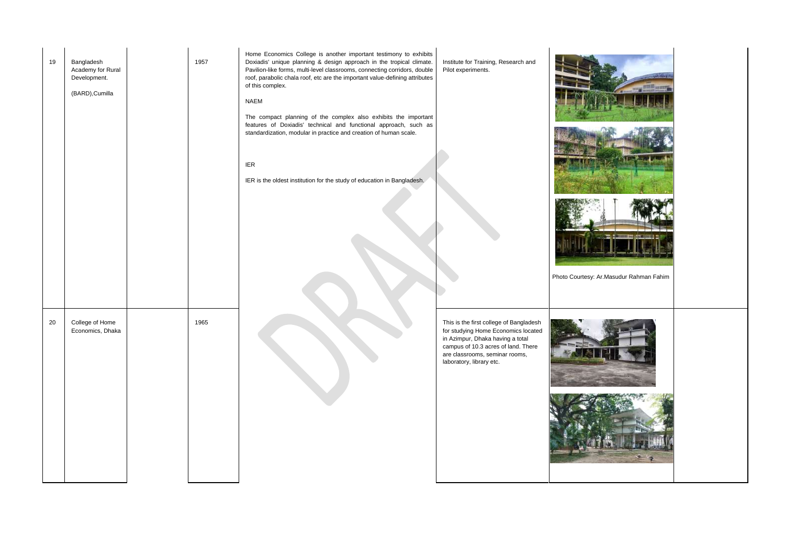| 19 | Bangladesh<br>Academy for Rural<br>Development.<br>(BARD), Cumilla | 1957 | Home Economics College is another important testimony to exhibits<br>Doxiadis' unique planning & design approach in the tropical climate.<br>Pavilion-like forms, multi-level classrooms, connecting corridors, double<br>roof, parabolic chala roof, etc are the important value-defining attributes<br>of this complex.<br><b>NAEM</b><br>The compact planning of the complex also exhibits the important<br>features of Doxiadis' technical and functional approach, such as<br>standardization, modular in practice and creation of human scale.<br><b>IER</b><br>IER is the oldest institution for the study of education in Bangladesh. | Institute for Training, Research and<br>Pilot experiments.                                                                                                                                                              | Photo Co |
|----|--------------------------------------------------------------------|------|-----------------------------------------------------------------------------------------------------------------------------------------------------------------------------------------------------------------------------------------------------------------------------------------------------------------------------------------------------------------------------------------------------------------------------------------------------------------------------------------------------------------------------------------------------------------------------------------------------------------------------------------------|-------------------------------------------------------------------------------------------------------------------------------------------------------------------------------------------------------------------------|----------|
| 20 | College of Home<br>Economics, Dhaka                                | 1965 |                                                                                                                                                                                                                                                                                                                                                                                                                                                                                                                                                                                                                                               | This is the first college of Bangladesh<br>for studying Home Economics located<br>in Azimpur, Dhaka having a total<br>campus of 10.3 acres of land. There<br>are classrooms, seminar rooms,<br>laboratory, library etc. |          |